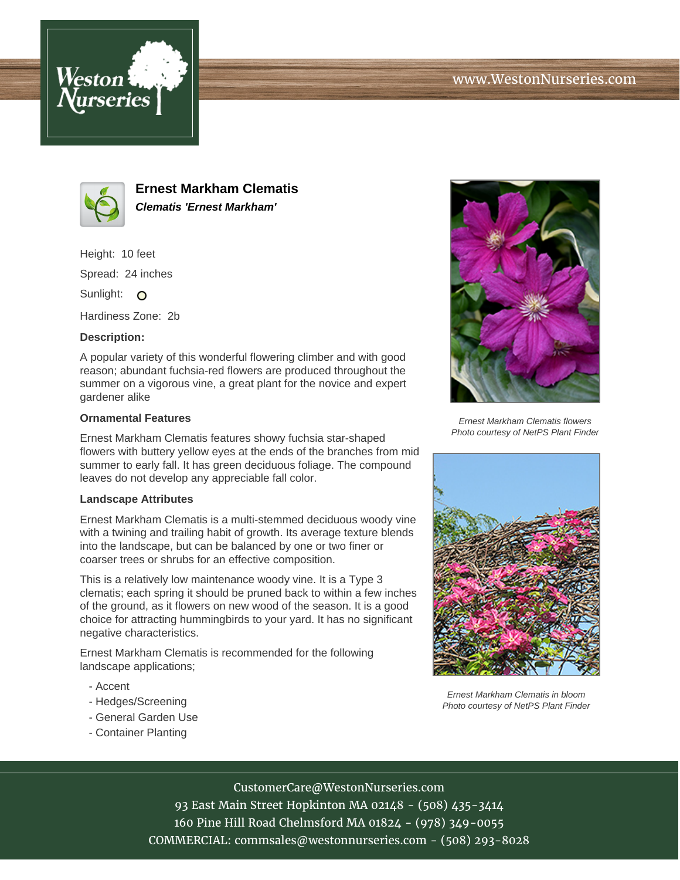



**Ernest Markham Clematis Clematis 'Ernest Markham'**

Height: 10 feet

Spread: 24 inches

Sunlight: O

Hardiness Zone: 2b

## **Description:**

A popular variety of this wonderful flowering climber and with good reason; abundant fuchsia-red flowers are produced throughout the summer on a vigorous vine, a great plant for the novice and expert gardener alike

### **Ornamental Features**

Ernest Markham Clematis features showy fuchsia star-shaped flowers with buttery yellow eyes at the ends of the branches from mid summer to early fall. It has green deciduous foliage. The compound leaves do not develop any appreciable fall color.

#### **Landscape Attributes**

Ernest Markham Clematis is a multi-stemmed deciduous woody vine with a twining and trailing habit of growth. Its average texture blends into the landscape, but can be balanced by one or two finer or coarser trees or shrubs for an effective composition.

This is a relatively low maintenance woody vine. It is a Type 3 clematis; each spring it should be pruned back to within a few inches of the ground, as it flowers on new wood of the season. It is a good choice for attracting hummingbirds to your yard. It has no significant negative characteristics.

Ernest Markham Clematis is recommended for the following landscape applications;

- Accent
- Hedges/Screening
- General Garden Use
- Container Planting



Ernest Markham Clematis flowers Photo courtesy of NetPS Plant Finder



Ernest Markham Clematis in bloom Photo courtesy of NetPS Plant Finder

# CustomerCare@WestonNurseries.com

93 East Main Street Hopkinton MA 02148 - (508) 435-3414 160 Pine Hill Road Chelmsford MA 01824 - (978) 349-0055 COMMERCIAL: commsales@westonnurseries.com - (508) 293-8028